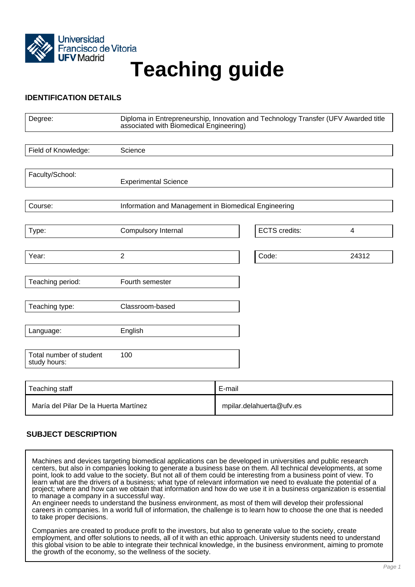

# Francisco de Vitoria<br>UFV Madrid<br>
Teaching guide

## **IDENTIFICATION DETAILS**

| Degree:                                 | Diploma in Entrepreneurship, Innovation and Technology Transfer (UFV Awarded title<br>associated with Biomedical Engineering) |        |                          |       |
|-----------------------------------------|-------------------------------------------------------------------------------------------------------------------------------|--------|--------------------------|-------|
|                                         |                                                                                                                               |        |                          |       |
| Field of Knowledge:                     | Science                                                                                                                       |        |                          |       |
|                                         |                                                                                                                               |        |                          |       |
| Faculty/School:                         | <b>Experimental Science</b>                                                                                                   |        |                          |       |
|                                         |                                                                                                                               |        |                          |       |
| Course:                                 | Information and Management in Biomedical Engineering                                                                          |        |                          |       |
|                                         |                                                                                                                               |        |                          |       |
| Type:                                   | Compulsory Internal                                                                                                           |        | <b>ECTS</b> credits:     | 4     |
|                                         |                                                                                                                               |        |                          |       |
| Year:                                   | $\overline{2}$                                                                                                                |        | Code:                    | 24312 |
|                                         |                                                                                                                               |        |                          |       |
| Teaching period:                        | Fourth semester                                                                                                               |        |                          |       |
|                                         |                                                                                                                               |        |                          |       |
| Teaching type:                          | Classroom-based                                                                                                               |        |                          |       |
|                                         |                                                                                                                               |        |                          |       |
| Language:                               | English                                                                                                                       |        |                          |       |
|                                         |                                                                                                                               |        |                          |       |
| Total number of student<br>study hours: | 100                                                                                                                           |        |                          |       |
|                                         |                                                                                                                               |        |                          |       |
| Teaching staff                          |                                                                                                                               | E-mail |                          |       |
| María del Pilar De la Huerta Martínez   |                                                                                                                               |        | mpilar.delahuerta@ufv.es |       |

# **SUBJECT DESCRIPTION**

Machines and devices targeting biomedical applications can be developed in universities and public research centers, but also in companies looking to generate a business base on them. All technical developments, at some point, look to add value to the society. But not all of them could be interesting from a business point of view. To learn what are the drivers of a business; what type of relevant information we need to evaluate the potential of a project; where and how can we obtain that information and how do we use it in a business organization is essential to manage a company in a successful way.

An engineer needs to understand the business environment, as most of them will develop their professional careers in companies. In a world full of information, the challenge is to learn how to choose the one that is needed to take proper decisions.

Companies are created to produce profit to the investors, but also to generate value to the society, create employment, and offer solutions to needs, all of it with an ethic approach. University students need to understand this global vision to be able to integrate their technical knowledge, in the business environment, aiming to promote the growth of the economy, so the wellness of the society.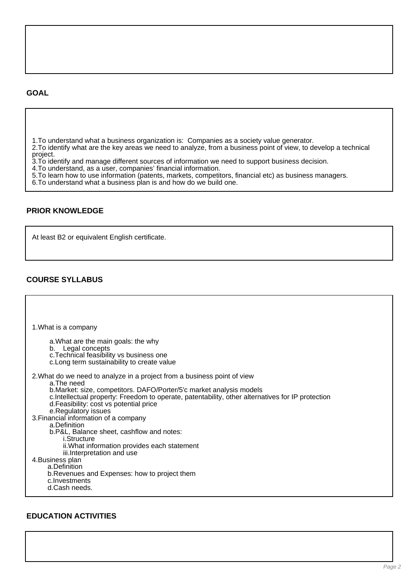#### **GOAL**

1.To understand what a business organization is: Companies as a society value generator.

2.To identify what are the key areas we need to analyze, from a business point of view, to develop a technical project.

3.To identify and manage different sources of information we need to support business decision.

4.To understand, as a user, companies' financial information.

5.To learn how to use information (patents, markets, competitors, financial etc) as business managers.

6.To understand what a business plan is and how do we build one.

### **PRIOR KNOWLEDGE**

At least B2 or equivalent English certificate.

## **COURSE SYLLABUS**

| 1. What is a company                                                                                                                                                                                                                                                                                                                  |
|---------------------------------------------------------------------------------------------------------------------------------------------------------------------------------------------------------------------------------------------------------------------------------------------------------------------------------------|
| a. What are the main goals: the why<br>b. Legal concepts<br>c. Technical feasibility vs business one<br>c. Long term sustainability to create value                                                                                                                                                                                   |
| 2. What do we need to analyze in a project from a business point of view<br>a. The need<br>b.Market: size, competitors. DAFO/Porter/5'c market analysis models<br>c. Intellectual property: Freedom to operate, patentability, other alternatives for IP protection<br>d. Feasibility: cost vs potential price<br>e.Regulatory issues |
| 3. Financial information of a company<br>a.Definition<br>b.P&L, Balance sheet, cashflow and notes:<br><i>i.Structure</i>                                                                                                                                                                                                              |
| ii. What information provides each statement<br>iii. Interpretation and use                                                                                                                                                                                                                                                           |
| 4. Business plan<br>a.Definition<br>b. Revenues and Expenses: how to project them<br>c. Investments<br>d.Cash needs.                                                                                                                                                                                                                  |

# **EDUCATION ACTIVITIES**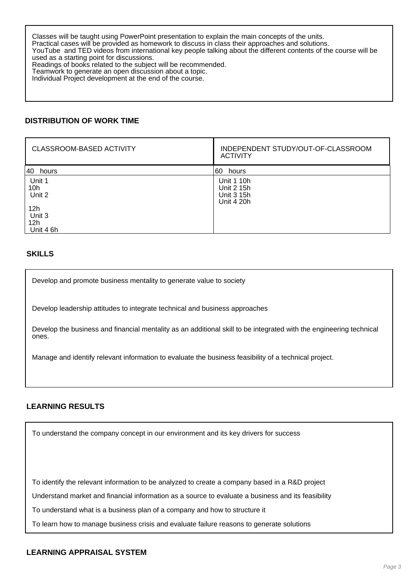Classes will be taught using PowerPoint presentation to explain the main concepts of the units. Practical cases will be provided as homework to discuss in class their approaches and solutions. YouTube and TED videos from international key people talking about the different contents of the course will be used as a starting point for discussions. Readings of books related to the subject will be recommended. Teamwork to generate an open discussion about a topic. Individual Project development at the end of the course.

## **DISTRIBUTION OF WORK TIME**

| <b>CLASSROOM-BASED ACTIVITY</b>     | INDEPENDENT STUDY/OUT-OF-CLASSROOM<br><b>ACTIVITY</b> |
|-------------------------------------|-------------------------------------------------------|
| 40<br>hours                         | I60<br>hours                                          |
| Unit 1<br>10 <sub>h</sub><br>Unit 2 | Unit 1 10h<br>Unit 2 15h<br>Unit 3 15h<br>Unit 4 20h  |
| 12h<br>Unit 3<br>12h<br>Unit 4 6h   |                                                       |

#### **SKILLS**

Develop and promote business mentality to generate value to society

Develop leadership attitudes to integrate technical and business approaches

Develop the business and financial mentality as an additional skill to be integrated with the engineering technical ones.

Manage and identify relevant information to evaluate the business feasibility of a technical project.

### **LEARNING RESULTS**

To understand the company concept in our environment and its key drivers for success

To identify the relevant information to be analyzed to create a company based in a R&D project

Understand market and financial information as a source to evaluate a business and its feasibility

To understand what is a business plan of a company and how to structure it

To learn how to manage business crisis and evaluate failure reasons to generate solutions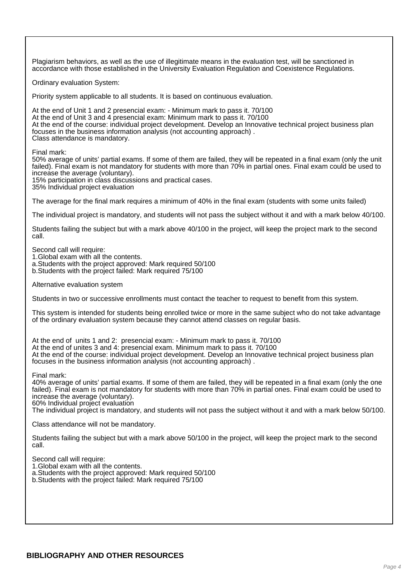Plagiarism behaviors, as well as the use of illegitimate means in the evaluation test, will be sanctioned in accordance with those established in the University Evaluation Regulation and Coexistence Regulations.

Ordinary evaluation System:

Priority system applicable to all students. It is based on continuous evaluation.

At the end of Unit 1 and 2 presencial exam: - Minimum mark to pass it. 70/100 At the end of Unit 3 and 4 presencial exam: Minimum mark to pass it. 70/100 At the end of the course: individual project development. Develop an Innovative technical project business plan focuses in the business information analysis (not accounting approach) . Class attendance is mandatory.

Final mark:

50% average of units' partial exams. If some of them are failed, they will be repeated in a final exam (only the unit failed). Final exam is not mandatory for students with more than 70% in partial ones. Final exam could be used to increase the average (voluntary).

15% participation in class discussions and practical cases.

35% Individual project evaluation

The average for the final mark requires a minimum of 40% in the final exam (students with some units failed)

The individual project is mandatory, and students will not pass the subject without it and with a mark below 40/100.

Students failing the subject but with a mark above 40/100 in the project, will keep the project mark to the second call.

Second call will require:

1.Global exam with all the contents.

a.Students with the project approved: Mark required 50/100

b.Students with the project failed: Mark required 75/100

Alternative evaluation system

Students in two or successive enrollments must contact the teacher to request to benefit from this system.

This system is intended for students being enrolled twice or more in the same subject who do not take advantage of the ordinary evaluation system because they cannot attend classes on regular basis.

At the end of units 1 and 2: presencial exam: - Minimum mark to pass it. 70/100 At the end of unites 3 and 4: presencial exam. Minimum mark to pass it. 70/100 At the end of the course: individual project development. Develop an Innovative technical project business plan focuses in the business information analysis (not accounting approach) .

Final mark:

40% average of units' partial exams. If some of them are failed, they will be repeated in a final exam (only the one failed). Final exam is not mandatory for students with more than 70% in partial ones. Final exam could be used to increase the average (voluntary).

60% Individual project evaluation

The individual project is mandatory, and students will not pass the subject without it and with a mark below 50/100.

Class attendance will not be mandatory.

Students failing the subject but with a mark above 50/100 in the project, will keep the project mark to the second call.

Second call will require:

1.Global exam with all the contents.

a.Students with the project approved: Mark required 50/100

b.Students with the project failed: Mark required 75/100